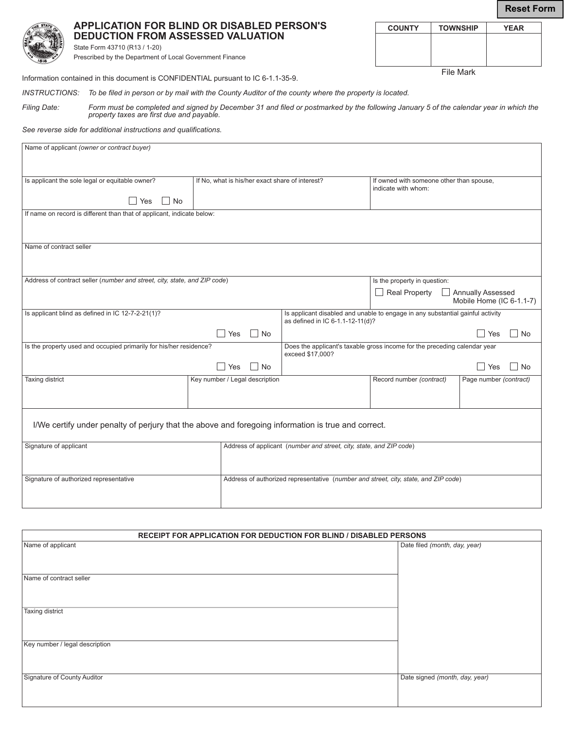**Reset Form**

**COUNTY TOWNSHIP YEAR**

File Mark

|     | Д<br>D |
|-----|--------|
|     | St     |
| 316 | Pr     |

**APPLICATION FOR BLIND OR DISABLED PERSON'S DEDUCTION FROM ASSESSED VALUATION**

tate Form 43710 (R13 / 1-20) rescribed by the Department of Local Government Finance

Information contained in this document is CONFIDENTIAL pursuant to IC 6-1.1-35-9.

*INSTRUCTIONS: To be filed in person or by mail with the County Auditor of the county where the property is located.* 

*Filing Date: Form must be completed and signed by December 31 and filed or postmarked by the following January 5 of the calendar year in which the property taxes are first due and payable.*

*See reverse side for additional instructions and qualifications.* 

| Name of applicant (owner or contract buyer)                                                         |                                                 |                                                                                                                    |                                                                 |                                               |  |
|-----------------------------------------------------------------------------------------------------|-------------------------------------------------|--------------------------------------------------------------------------------------------------------------------|-----------------------------------------------------------------|-----------------------------------------------|--|
|                                                                                                     |                                                 |                                                                                                                    |                                                                 |                                               |  |
| Is applicant the sole legal or equitable owner?                                                     | If No, what is his/her exact share of interest? |                                                                                                                    | If owned with someone other than spouse,<br>indicate with whom: |                                               |  |
| No<br>Yes                                                                                           |                                                 |                                                                                                                    |                                                                 |                                               |  |
| If name on record is different than that of applicant, indicate below:                              |                                                 |                                                                                                                    |                                                                 |                                               |  |
|                                                                                                     |                                                 |                                                                                                                    |                                                                 |                                               |  |
| Name of contract seller                                                                             |                                                 |                                                                                                                    |                                                                 |                                               |  |
|                                                                                                     |                                                 |                                                                                                                    |                                                                 |                                               |  |
| Address of contract seller (number and street, city, state, and ZIP code)                           |                                                 | Is the property in question:                                                                                       |                                                                 |                                               |  |
|                                                                                                     |                                                 |                                                                                                                    | Real Property                                                   | Annually Assessed<br>Mobile Home (IC 6-1.1-7) |  |
| Is applicant blind as defined in IC 12-7-2-21(1)?                                                   |                                                 | Is applicant disabled and unable to engage in any substantial gainful activity<br>as defined in IC 6-1.1-12-11(d)? |                                                                 |                                               |  |
|                                                                                                     | $\Box$ No<br>Yes                                |                                                                                                                    |                                                                 | $\Box$ No<br>l Yes                            |  |
| Is the property used and occupied primarily for his/her residence?                                  |                                                 | Does the applicant's taxable gross income for the preceding calendar year<br>exceed \$17,000?                      |                                                                 |                                               |  |
|                                                                                                     | $\Box$ No<br>Yes                                | Yes<br>$\Box$ No                                                                                                   |                                                                 |                                               |  |
| Taxing district                                                                                     | Key number / Legal description                  |                                                                                                                    | Record number (contract)                                        | Page number (contract)                        |  |
|                                                                                                     |                                                 |                                                                                                                    |                                                                 |                                               |  |
| I/We certify under penalty of perjury that the above and foregoing information is true and correct. |                                                 |                                                                                                                    |                                                                 |                                               |  |
|                                                                                                     |                                                 |                                                                                                                    |                                                                 |                                               |  |
| Signature of applicant                                                                              |                                                 | Address of applicant (number and street, city, state, and ZIP code)                                                |                                                                 |                                               |  |
|                                                                                                     |                                                 |                                                                                                                    |                                                                 |                                               |  |
| Signature of authorized representative                                                              |                                                 | Address of authorized representative (number and street, city, state, and ZIP code)                                |                                                                 |                                               |  |
|                                                                                                     |                                                 |                                                                                                                    |                                                                 |                                               |  |

| <b>RECEIPT FOR APPLICATION FOR DEDUCTION FOR BLIND / DISABLED PERSONS</b> |                                |  |  |
|---------------------------------------------------------------------------|--------------------------------|--|--|
| Name of applicant                                                         | Date filed (month, day, year)  |  |  |
| Name of contract seller                                                   |                                |  |  |
| <b>Taxing district</b>                                                    |                                |  |  |
| Key number / legal description                                            |                                |  |  |
| Signature of County Auditor                                               | Date signed (month, day, year) |  |  |